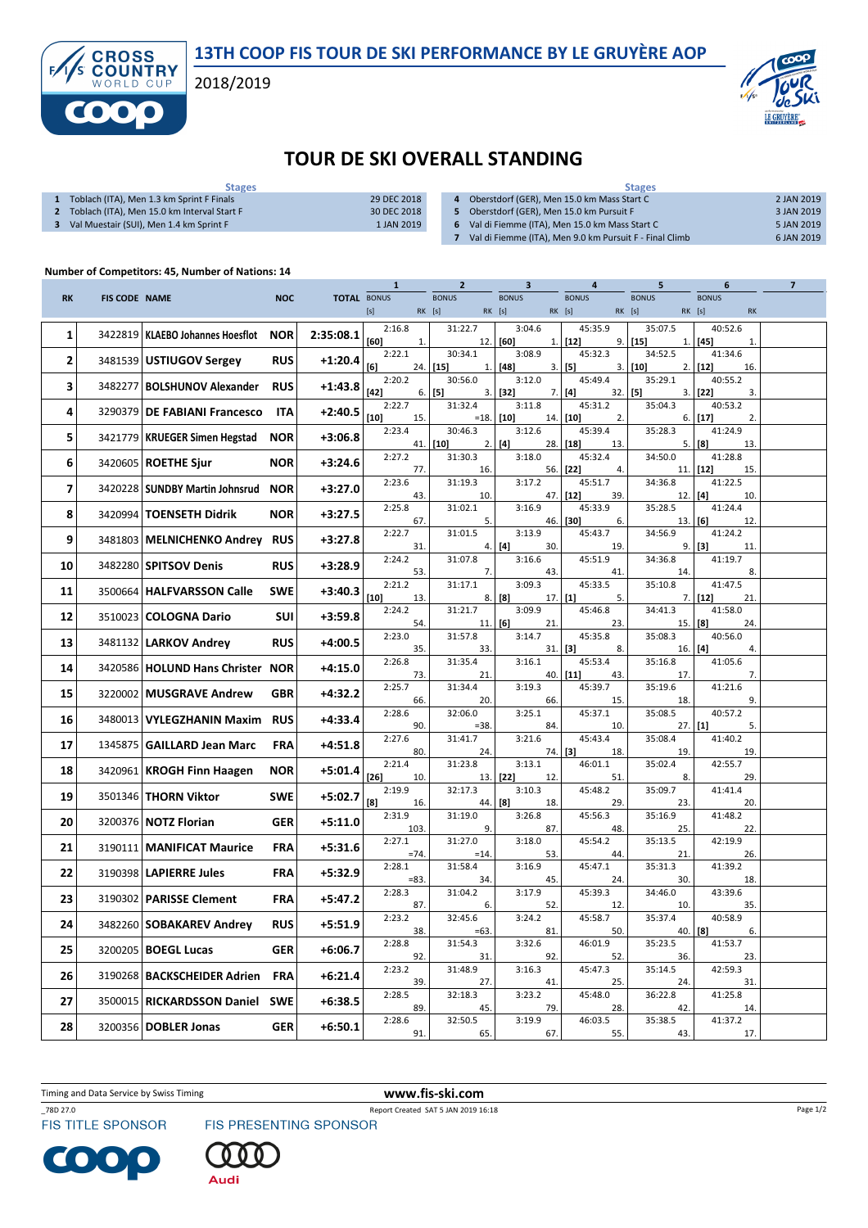13TH COOP FIS TOUR DE SKI PERFORMANCE BY LE GRUYÈRE AOP

2018/2019



## TOUR DE SKI OVERALL STANDING

| <b>Stages</b>                               |             | <b>Stages</b>                                           |            |  |  |  |  |
|---------------------------------------------|-------------|---------------------------------------------------------|------------|--|--|--|--|
| Toblach (ITA), Men 1.3 km Sprint F Finals   | 29 DEC 2018 | Oberstdorf (GER), Men 15.0 km Mass Start C              | 2 JAN 2019 |  |  |  |  |
| Toblach (ITA), Men 15.0 km Interval Start F | 30 DEC 2018 | Oberstdorf (GER), Men 15.0 km Pursuit F                 | 3 JAN 2019 |  |  |  |  |
| Val Muestair (SUI), Men 1.4 km Sprint F     | 1 JAN 2019  | Val di Fiemme (ITA), Men 15.0 km Mass Start C           | 5 JAN 2019 |  |  |  |  |
|                                             |             | Val di Fiemme (ITA), Men 9.0 km Pursuit F - Final Climb | 6 JAN 2019 |  |  |  |  |

## Number of Competitors: 45, Number of Nations: 14

**CROSS<br>COUNTRY** 

f

|           |                      |                                    |            |                    | $\mathbf{1}$            | $\overline{2}$                   | 3                          | 4                                | 5                          | 6                         | $\overline{\mathbf{z}}$ |
|-----------|----------------------|------------------------------------|------------|--------------------|-------------------------|----------------------------------|----------------------------|----------------------------------|----------------------------|---------------------------|-------------------------|
| <b>RK</b> | <b>FIS CODE NAME</b> |                                    | <b>NOC</b> | <b>TOTAL BONUS</b> |                         | <b>BONUS</b><br>RK [s]<br>RK [s] | <b>BONUS</b>               | <b>BONUS</b><br>RK [s]<br>RK [s] | <b>BONUS</b><br>RK [s]     | <b>BONUS</b><br><b>RK</b> |                         |
| 1         | 3422819              | KLAEBO Johannes Hoesflot           | <b>NOR</b> | 2:35:08.1          | 2:16.8<br>[60]<br>1.    | 31:22.7<br>12.                   | 3:04.6<br>[60]<br>1.       | 45:35.9<br>$[12]$                | 35:07.5<br>9.   [15]<br>1. | 40:52.6<br>$[45]$<br>1.   |                         |
| 2         |                      | 3481539 USTIUGOV Sergey            | <b>RUS</b> | $+1:20.4$          | 2:22.1<br>[6]<br>24.    | 30:34.1<br>$[15]$<br>1.          | 3:08.9<br>$[48]$<br>3.     | 45:32.3<br>$[5]$<br>3.1          | 34:52.5<br>$[10]$<br>2.    | 41:34.6<br>$[12]$<br>16.  |                         |
| 3         | 3482277              | <b>BOLSHUNOV Alexander</b>         | <b>RUS</b> | +1:43.8            | 2:20.2<br>$[42]$<br>6.  | 30:56.0<br>$[5]$<br>3.           | 3:12.0<br>$[32]$<br>7.     | 45:49.4<br>$[4]$<br>$32.$ [5]    | 35:29.1<br>3.              | 40:55.2<br>$[22]$<br>3.   |                         |
| 4         | 3290379              | <b>DE FABIANI Francesco</b>        | <b>ITA</b> | $+2:40.5$          | 2:22.7<br>$[10]$<br>15. | 31:32.4<br>$=18.$                | 3:11.8<br>[10]<br>14.      | 45:31.2<br>$[10]$<br>2.          | 35:04.3<br>6.              | 40:53.2<br>[17]<br>2.     |                         |
| 5         | 3421779              | <b>KRUEGER Simen Hegstad</b>       | <b>NOR</b> | +3:06.8            | 2:23.4                  | 30:46.3<br>$41.$ [10]<br>2.      | 3:12.6<br>[4]<br>28.       | 45:39.4<br>$[18]$<br>13.         | 35:28.3<br>5.              | 41:24.9<br>  [8]<br>13.   |                         |
| 6         |                      | 3420605   ROETHE Sjur              | <b>NOR</b> | $+3:24.6$          | 2:27.2<br>77.           | 31:30.3<br>16.                   | 3:18.0<br>56.              | 45:32.4<br>$[22]$<br>4.          | 34:50.0<br>11.             | 41:28.8<br>$[12]$<br>15.  |                         |
| 7         |                      | 3420228   SUNDBY Martin Johnsrud   | <b>NOR</b> | $+3:27.0$          | 2:23.6<br>43.           | 31:19.3<br>10.                   | 3:17.2<br>47.              | 45:51.7<br>$[12]$<br>39.         | 34:36.8<br>12.             | 41:22.5<br>[4]<br>10.     |                         |
| 8         | 3420994              | <b>TOENSETH Didrik</b>             | <b>NOR</b> | $+3:27.5$          | 2:25.8<br>67.           | 31:02.1<br>5.                    | 3:16.9<br>46.              | 45:33.9<br>[30]<br>6.            | 35:28.5<br>13.             | 41:24.4<br>[6]<br>12.     |                         |
| 9         | 3481803              | <b>MELNICHENKO Andrey RUS</b>      |            | $+3:27.8$          | 2:22.7<br>31.           | 31:01.5<br>4.                    | 3:13.9<br>[4]<br>30.       | 45:43.7<br>19.                   | 34:56.9<br>9.              | 41:24.2<br>[3]<br>11      |                         |
| 10        | 3482280              | SPITSOV Denis                      | <b>RUS</b> | $+3:28.9$          | 2:24.2<br>53.           | 31:07.8<br>7.                    | 3:16.6<br>43.              | 45:51.9<br>41.                   | 34:36.8<br>14.             | 41:19.7<br>8.             |                         |
| 11        | 3500664              | <b>HALFVARSSON Calle</b>           | <b>SWE</b> | $+3:40.3$          | 2:21.2<br>$[10]$<br>13. | 31:17.1<br>8.                    | 3:09.3<br>[8]<br>$17.$ [1] | 45:33.5<br>5.                    | 35:10.8<br>7.              | 41:47.5<br>$[12]$<br>21.  |                         |
| 12        | 3510023              | <b>COLOGNA Dario</b>               | SUI        | $+3:59.8$          | 2:24.2<br>54.           | 31:21.7<br>11.                   | 3:09.9<br>[6]<br>21.       | 45:46.8<br>23.                   | 34:41.3<br>15.             | 41:58.0<br>[8]<br>24.     |                         |
| 13        | 3481132              | <b>LARKOV Andrey</b>               | <b>RUS</b> | $+4:00.5$          | 2:23.0<br>35.           | 31:57.8<br>33.                   | 3:14.7<br>31.              | 45:35.8<br>$[3]$<br>8.           | 35:08.3<br>$16.$ [4]       | 40:56.0<br>4.             |                         |
| 14        |                      | 3420586   HOLUND Hans Christer NOR |            | $+4:15.0$          | 2:26.8<br>73.           | 31:35.4<br>21.                   | 3:16.1<br>40.              | 45:53.4<br>$[11]$<br>43.         | 35:16.8<br>17.             | 41:05.6<br>7.             |                         |
| 15        | 3220002              | <b>MUSGRAVE Andrew</b>             | <b>GBR</b> | +4:32.2            | 2:25.7<br>66.           | 31:34.4<br>20.                   | 3:19.3<br>66.              | 45:39.7<br>15.                   | 35:19.6<br>18.             | 41:21.6<br>9.             |                         |
| 16        | 3480013              | <b>VYLEGZHANIN Maxim</b>           | <b>RUS</b> | $+4:33.4$          | 2:28.6<br>90.           | 32:06.0<br>$=38.$                | 3:25.1<br>84.              | 45:37.1<br>10.                   | 35:08.5<br>$27.$ [1]       | 40:57.2<br>5.             |                         |
| 17        | 1345875              | <b>GAILLARD Jean Marc</b>          | <b>FRA</b> | $+4:51.8$          | 2:27.6<br>80.           | 31:41.7<br>24.                   | 3:21.6<br>74.              | 45:43.4<br>[3]<br>18.            | 35:08.4<br>19.             | 41:40.2<br>19.            |                         |
| 18        | 3420961              | <b>KROGH Finn Haagen</b>           | <b>NOR</b> | +5:01.4            | 2:21.4<br>$[26]$<br>10. | 31:23.8<br>13.                   | 3:13.1<br>[22]<br>12.      | 46:01.1<br>51.                   | 35:02.4<br>8.              | 42:55.7<br>29.            |                         |
| 19        |                      | 3501346   THORN Viktor             | <b>SWE</b> | $+5:02.7$          | 2:19.9<br>[8]<br>16.    | 32:17.3<br>44.                   | 3:10.3<br>[8]<br>18.       | 45:48.2<br>29.                   | 35:09.7<br>23.             | 41:41.4<br>20.            |                         |
| 20        |                      | 3200376   NOTZ Florian             | <b>GER</b> | +5:11.0            | 2:31.9<br>103.          | 31:19.0<br>9.                    | 3:26.8<br>87.              | 45:56.3<br>48.                   | 35:16.9<br>25.             | 41:48.2<br>22.            |                         |
| 21        |                      | 3190111   MANIFICAT Maurice        | <b>FRA</b> | +5:31.6            | 2:27.1<br>$=74.$        | 31:27.0<br>$=14.$                | 3:18.0<br>53.              | 45:54.2<br>44.                   | 35:13.5<br>21.             | 42:19.9<br>26.            |                         |
| 22        |                      | 3190398   LAPIERRE Jules           | FRA        | +5:32.9            | 2:28.1<br>$= 83.$       | 31:58.4<br>34.                   | 3:16.9<br>45.              | 45:47.1<br>24.                   | 35:31.3<br>30.             | 41:39.2<br>18.            |                         |
| 23        |                      | 3190302   PARISSE Clement          | <b>FRA</b> | +5:47.2            | 2:28.3<br>87.           | 31:04.2<br>6.                    | 3:17.9<br>52.              | 45:39.3<br>12.                   | 34:46.0<br>10.             | 43:39.6<br>35.            |                         |
| 24        |                      | 3482260 SOBAKAREV Andrey           | <b>RUS</b> | $+5:51.9$          | 2:23.2<br>38.           | 32:45.6<br>$=63$                 | 3:24.2<br>81.              | 45:58.7<br>50.                   | 35:37.4<br>$40.$ [8]       | 40:58.9<br>6.             |                         |
| 25        |                      | 3200205   <b>BOEGL Lucas</b>       | <b>GER</b> | $+6:06.7$          | 2:28.8<br>92.           | 31:54.3<br>31.                   | 3:32.6<br>92.              | 46:01.9<br>52.                   | 35:23.5<br>36.             | 41:53.7<br>23.            |                         |
| 26        | 3190268              | <b>BACKSCHEIDER Adrien</b>         | <b>FRA</b> | $+6:21.4$          | 2:23.2<br>39.           | 31:48.9<br>27.                   | 3:16.3<br>41.              | 45:47.3<br>25.                   | 35:14.5<br>24.             | 42:59.3<br>31.            |                         |
| 27        | 3500015              | <b>RICKARDSSON Daniel</b>          | <b>SWE</b> | +6:38.5            | 2:28.5<br>89.           | 32:18.3<br>45.                   | 3:23.2<br>79.              | 45:48.0<br>28.                   | 36:22.8<br>42.             | 41:25.8<br>14.            |                         |
| 28        |                      | 3200356 DOBLER Jonas               | <b>GER</b> | $+6:50.1$          | 2:28.6<br>91.           | 32:50.5<br>65.                   | 3:19.9<br>67.              | 46:03.5<br>55.                   | 35:38.5<br>43.             | 41:37.2<br>17.            |                         |

Timing and Data Service by Swiss Timing WWW.fis-ski.com



C  $\bullet$ 

\_78D 27.0 Report Created SAT 5 JAN 2019 16:18<br>FIS TITLE SPONSOR FIS PRESENTING SPONSOR



Audi

Page 1/2